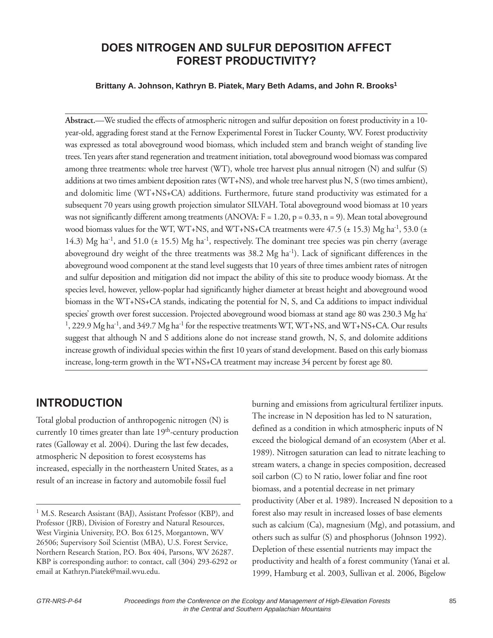# **DOES NITROGEN AND SULFUR DEPOSITION AFFECT FOREST PRODUCTIVITY?**

#### **Brittany A. Johnson, Kathryn B. Piatek, Mary Beth Adams, and John R. Brooks1**

**Abstract.**—We studied the effects of atmospheric nitrogen and sulfur deposition on forest productivity in a 10 year-old, aggrading forest stand at the Fernow Experimental Forest in Tucker County, WV. Forest productivity was expressed as total aboveground wood biomass, which included stem and branch weight of standing live trees. Ten years after stand regeneration and treatment initiation, total aboveground wood biomass was compared among three treatments: whole tree harvest (WT), whole tree harvest plus annual nitrogen (N) and sulfur (S) additions at two times ambient deposition rates (WT+NS), and whole tree harvest plus N, S (two times ambient), and dolomitic lime (WT+NS+CA) additions. Furthermore, future stand productivity was estimated for a subsequent 70 years using growth projection simulator SILVAH. Total aboveground wood biomass at 10 years was not significantly different among treatments (ANOVA:  $F = 1.20$ ,  $p = 0.33$ ,  $n = 9$ ). Mean total aboveground wood biomass values for the WT, WT+NS, and WT+NS+CA treatments were  $47.5$  ( $\pm$  15.3) Mg ha<sup>-1</sup>, 53.0 ( $\pm$ 14.3) Mg ha<sup>-1</sup>, and 51.0 ( $\pm$  15.5) Mg ha<sup>-1</sup>, respectively. The dominant tree species was pin cherry (average aboveground dry weight of the three treatments was 38.2 Mg ha<sup>-1</sup>). Lack of significant differences in the aboveground wood component at the stand level suggests that 10 years of three times ambient rates of nitrogen and sulfur deposition and mitigation did not impact the ability of this site to produce woody biomass. At the species level, however, yellow-poplar had significantly higher diameter at breast height and aboveground wood biomass in the WT+NS+CA stands, indicating the potential for N, S, and Ca additions to impact individual species' growth over forest succession. Projected aboveground wood biomass at stand age 80 was 230.3 Mg ha- $1,229.9$  Mg ha<sup>-1</sup>, and 349.7 Mg ha<sup>-1</sup> for the respective treatments WT, WT+NS, and WT+NS+CA. Our results suggest that although N and S additions alone do not increase stand growth, N, S, and dolomite additions increase growth of individual species within the first 10 years of stand development. Based on this early biomass increase, long-term growth in the WT+NS+CA treatment may increase 34 percent by forest age 80.

### **INTRODUCTION**

Total global production of anthropogenic nitrogen (N) is currently 10 times greater than late  $19<sup>th</sup>$ -century production rates (Galloway et al. 2004). During the last few decades, atmospheric N deposition to forest ecosystems has increased, especially in the northeastern United States, as a result of an increase in factory and automobile fossil fuel

burning and emissions from agricultural fertilizer inputs. The increase in N deposition has led to N saturation, defined as a condition in which atmospheric inputs of N exceed the biological demand of an ecosystem (Aber et al. 1989). Nitrogen saturation can lead to nitrate leaching to stream waters, a change in species composition, decreased soil carbon (C) to N ratio, lower foliar and fine root biomass, and a potential decrease in net primary productivity (Aber et al. 1989). Increased N deposition to a forest also may result in increased losses of base elements such as calcium (Ca), magnesium (Mg), and potassium, and others such as sulfur (S) and phosphorus (Johnson 1992). Depletion of these essential nutrients may impact the productivity and health of a forest community (Yanai et al. 1999, Hamburg et al. 2003, Sullivan et al. 2006, Bigelow

<sup>&</sup>lt;sup>1</sup> M.S. Research Assistant (BAJ), Assistant Professor (KBP), and Professor (JRB), Division of Forestry and Natural Resources, West Virginia University, P.O. Box 6125, Morgantown, WV 26506; Supervisory Soil Scientist (MBA), U.S. Forest Service, Northern Research Station, P.O. Box 404, Parsons, WV 26287. KBP is corresponding author: to contact, call (304) 293-6292 or email at Kathryn.Piatek@mail.wvu.edu.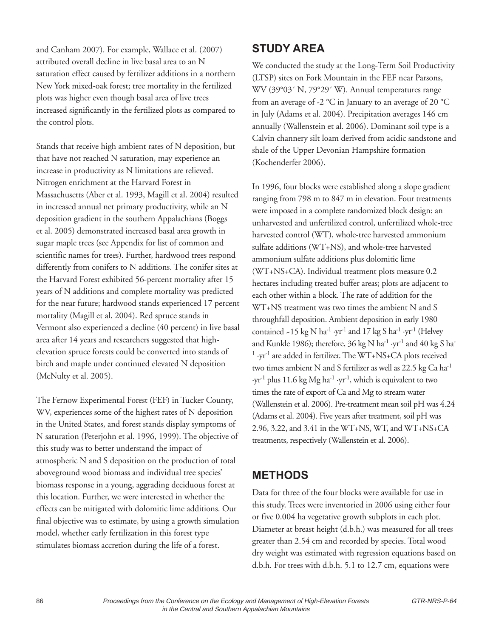and Canham 2007). For example, Wallace et al. (2007) attributed overall decline in live basal area to an N saturation effect caused by fertilizer additions in a northern New York mixed-oak forest; tree mortality in the fertilized plots was higher even though basal area of live trees increased significantly in the fertilized plots as compared to the control plots.

Stands that receive high ambient rates of N deposition, but that have not reached N saturation, may experience an increase in productivity as N limitations are relieved. Nitrogen enrichment at the Harvard Forest in Massachusetts (Aber et al. 1993, Magill et al. 2004) resulted in increased annual net primary productivity, while an N deposition gradient in the southern Appalachians (Boggs et al. 2005) demonstrated increased basal area growth in sugar maple trees (see Appendix for list of common and scientific names for trees). Further, hardwood trees respond differently from conifers to N additions. The conifer sites at the Harvard Forest exhibited 56-percent mortality after 15 years of N additions and complete mortality was predicted for the near future; hardwood stands experienced 17 percent mortality (Magill et al. 2004). Red spruce stands in Vermont also experienced a decline (40 percent) in live basal area after 14 years and researchers suggested that highelevation spruce forests could be converted into stands of birch and maple under continued elevated N deposition (McNulty et al. 2005).

The Fernow Experimental Forest (FEF) in Tucker County, WV, experiences some of the highest rates of N deposition in the United States, and forest stands display symptoms of N saturation (Peterjohn et al. 1996, 1999). The objective of this study was to better understand the impact of atmospheric N and S deposition on the production of total aboveground wood biomass and individual tree species' biomass response in a young, aggrading deciduous forest at this location. Further, we were interested in whether the effects can be mitigated with dolomitic lime additions. Our final objective was to estimate, by using a growth simulation model, whether early fertilization in this forest type stimulates biomass accretion during the life of a forest.

# **STUDY AREA**

We conducted the study at the Long-Term Soil Productivity (LTSP) sites on Fork Mountain in the FEF near Parsons, WV (39°03´ N, 79°29´ W). Annual temperatures range from an average of -2  $\mathrm{^{\circ}C}$  in January to an average of 20  $\mathrm{^{\circ}C}$ in July (Adams et al. 2004). Precipitation averages 146 cm annually (Wallenstein et al. 2006). Dominant soil type is a Calvin channery silt loam derived from acidic sandstone and shale of the Upper Devonian Hampshire formation (Kochenderfer 2006).

In 1996, four blocks were established along a slope gradient ranging from 798 m to 847 m in elevation. Four treatments were imposed in a complete randomized block design: an unharvested and unfertilized control, unfertilized whole-tree harvested control (WT), whole-tree harvested ammonium sulfate additions (WT+NS), and whole-tree harvested ammonium sulfate additions plus dolomitic lime (WT+NS+CA). Individual treatment plots measure 0.2 hectares including treated buffer areas; plots are adjacent to each other within a block. The rate of addition for the WT+NS treatment was two times the ambient N and S throughfall deposition. Ambient deposition in early 1980 contained  $-15$  kg N ha<sup>-1</sup> ·yr<sup>-1</sup> and 17 kg S ha<sup>-1</sup> ·yr<sup>-1</sup> (Helvey and Kunkle 1986); therefore,  $36 \text{ kg N} \text{ ha}^{-1} \cdot \text{yr}^{-1}$  and  $40 \text{ kg S} \text{ ha}^{-1}$ <sup>1</sup> ·yr-1 are added in fertilizer. The WT+NS+CA plots received two times ambient N and S fertilizer as well as 22.5 kg Ca ha-1  $\cdot$ yr<sup>-1</sup> plus 11.6 kg Mg ha<sup>-1</sup> ·yr<sup>-1</sup>, which is equivalent to two times the rate of export of Ca and Mg to stream water (Wallenstein et al. 2006). Pre-treatment mean soil pH was 4.24 (Adams et al. 2004). Five years after treatment, soil pH was 2.96, 3.22, and 3.41 in the WT+NS, WT, and WT+NS+CA treatments, respectively (Wallenstein et al. 2006).

# **METHODS**

Data for three of the four blocks were available for use in this study. Trees were inventoried in 2006 using either four or five 0.004 ha vegetative growth subplots in each plot. Diameter at breast height (d.b.h.) was measured for all trees greater than 2.54 cm and recorded by species. Total wood dry weight was estimated with regression equations based on d.b.h. For trees with d.b.h. 5.1 to 12.7 cm, equations were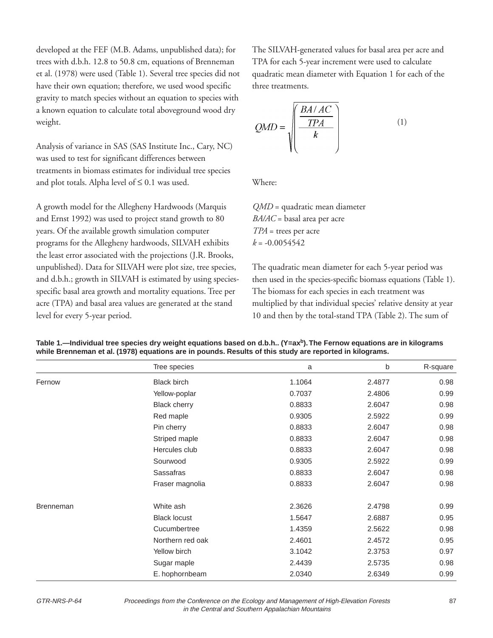developed at the FEF (M.B. Adams, unpublished data); for trees with d.b.h. 12.8 to 50.8 cm, equations of Brenneman et al. (1978) were used (Table 1). Several tree species did not have their own equation; therefore, we used wood specific gravity to match species without an equation to species with a known equation to calculate total aboveground wood dry weight.

Analysis of variance in SAS (SAS Institute Inc., Cary, NC) was used to test for significant differences between treatments in biomass estimates for individual tree species and plot totals. Alpha level of  $\leq 0.1$  was used.

A growth model for the Allegheny Hardwoods (Marquis and Ernst 1992) was used to project stand growth to 80 years. Of the available growth simulation computer programs for the Allegheny hardwoods, SILVAH exhibits the least error associated with the projections (J.R. Brooks, unpublished). Data for SILVAH were plot size, tree species, and d.b.h.; growth in SILVAH is estimated by using speciesspecific basal area growth and mortality equations. Tree per acre (TPA) and basal area values are generated at the stand level for every 5-year period.

The SILVAH-generated values for basal area per acre and TPA for each 5-year increment were used to calculate quadratic mean diameter with Equation 1 for each of the three treatments.

$$
QMD = \sqrt{\frac{\frac{BA/AC}{TPA}}{k}}
$$
 (1)

Where:

*QMD* = quadratic mean diameter *BA/AC* = basal area per acre *TPA* = trees per acre  $k = -0.0054542$ 

The quadratic mean diameter for each 5-year period was then used in the species-specific biomass equations (Table 1). The biomass for each species in each treatment was multiplied by that individual species' relative density at year 10 and then by the total-stand TPA (Table 2). The sum of

|                  | Tree species        | a      | b      | R-square |
|------------------|---------------------|--------|--------|----------|
| Fernow           | <b>Black birch</b>  | 1.1064 | 2.4877 | 0.98     |
|                  | Yellow-poplar       | 0.7037 | 2.4806 | 0.99     |
|                  | <b>Black cherry</b> | 0.8833 | 2.6047 | 0.98     |
|                  | Red maple           | 0.9305 | 2.5922 | 0.99     |
|                  | Pin cherry          | 0.8833 | 2.6047 | 0.98     |
|                  | Striped maple       | 0.8833 | 2.6047 | 0.98     |
|                  | Hercules club       | 0.8833 | 2.6047 | 0.98     |
|                  | Sourwood            | 0.9305 | 2.5922 | 0.99     |
|                  | Sassafras           | 0.8833 | 2.6047 | 0.98     |
|                  | Fraser magnolia     | 0.8833 | 2.6047 | 0.98     |
| <b>Brenneman</b> | White ash           | 2.3626 | 2.4798 | 0.99     |
|                  | <b>Black locust</b> | 1.5647 | 2.6887 | 0.95     |
|                  | Cucumbertree        | 1.4359 | 2.5622 | 0.98     |
|                  | Northern red oak    | 2.4601 | 2.4572 | 0.95     |
|                  | Yellow birch        | 3.1042 | 2.3753 | 0.97     |
|                  | Sugar maple         | 2.4439 | 2.5735 | 0.98     |
|                  | E. hophornbeam      | 2.0340 | 2.6349 | 0.99     |

Table 1.—Individual tree species dry weight equations based on d.b.h.. (Y=ax<sup>b</sup>). The Fernow equations are in kilograms **while Brenneman et al. (1978) equations are in pounds. Results of this study are reported in kilograms.**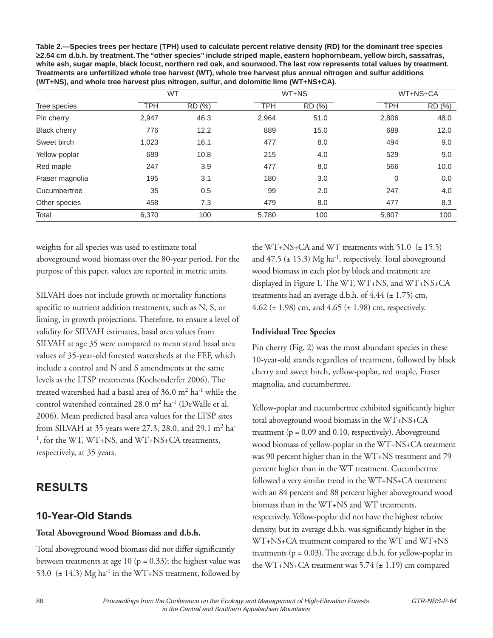**Table 2.—Species trees per hectare (TPH) used to calculate percent relative density (RD) for the dominant tree species** ≥**2.54 cm d.b.h. by treatment. The "other species" include striped maple, eastern hophornbeam, yellow birch, sassafras, white ash, sugar maple, black locust, northern red oak, and sourwood. The last row represents total values by treatment. Treatments are unfertilized whole tree harvest (WT), whole tree harvest plus annual nitrogen and sulfur additions (WT+NS), and whole tree harvest plus nitrogen, sulfur, and dolomitic lime (WT+NS+CA).**

| Tree species        | <b>WT</b>  | WT+NS  | WT+NS+CA |        |            |        |
|---------------------|------------|--------|----------|--------|------------|--------|
|                     | <b>TPH</b> | RD (%) | TPH      | RD (%) | <b>TPH</b> | RD (%) |
| Pin cherry          | 2,947      | 46.3   | 2,964    | 51.0   | 2,806      | 48.0   |
| <b>Black cherry</b> | 776        | 12.2   | 889      | 15.0   | 689        | 12.0   |
| Sweet birch         | 1,023      | 16.1   | 477      | 8.0    | 494        | 9.0    |
| Yellow-poplar       | 689        | 10.8   | 215      | 4.0    | 529        | 9.0    |
| Red maple           | 247        | 3.9    | 477      | 8.0    | 566        | 10.0   |
| Fraser magnolia     | 195        | 3.1    | 180      | 3.0    | 0          | 0.0    |
| Cucumbertree        | 35         | 0.5    | 99       | 2.0    | 247        | 4.0    |
| Other species       | 458        | 7.3    | 479      | 8.0    | 477        | 8.3    |
| Total               | 6,370      | 100    | 5,780    | 100    | 5,807      | 100    |

weights for all species was used to estimate total aboveground wood biomass over the 80-year period. For the purpose of this paper, values are reported in metric units.

SILVAH does not include growth or mortality functions specific to nutrient addition treatments, such as N, S, or liming, in growth projections. Therefore, to ensure a level of validity for SILVAH estimates, basal area values from SILVAH at age 35 were compared to mean stand basal area values of 35-year-old forested watersheds at the FEF, which include a control and N and S amendments at the same levels as the LTSP treatments (Kochenderfer 2006). The treated watershed had a basal area of  $36.0 \text{ m}^2$  ha<sup>-1</sup> while the control watershed contained  $28.0 \text{ m}^2$  ha<sup>-1</sup> (DeWalle et al. 2006). Mean predicted basal area values for the LTSP sites from SILVAH at 35 years were 27.3, 28.0, and 29.1  $m<sup>2</sup>$  ha<sup>-</sup> <sup>1</sup>, for the WT, WT+NS, and WT+NS+CA treatments, respectively, at 35 years.

### **RESULTS**

# **10-Year-Old Stands**

#### **Total Aboveground Wood Biomass and d.b.h.**

Total aboveground wood biomass did not differ significantly between treatments at age 10 ( $p = 0.33$ ); the highest value was 53.0  $(\pm 14.3)$  Mg ha<sup>-1</sup> in the WT+NS treatment, followed by the WT+NS+CA and WT treatments with  $51.0$  ( $\pm$  15.5) and  $47.5$  ( $\pm$  15.3) Mg ha<sup>-1</sup>, respectively. Total aboveground wood biomass in each plot by block and treatment are displayed in Figure 1. The WT, WT+NS, and WT+NS+CA treatments had an average d.b.h. of  $4.44$  ( $\pm$  1.75) cm, 4.62 ( $\pm$  1.98) cm, and 4.65 ( $\pm$  1.98) cm, respectively.

#### **Individual Tree Species**

Pin cherry (Fig. 2) was the most abundant species in these 10-year-old stands regardless of treatment, followed by black cherry and sweet birch, yellow-poplar, red maple, Fraser magnolia, and cucumbertree.

Yellow-poplar and cucumbertree exhibited significantly higher total aboveground wood biomass in the WT+NS+CA treatment ( $p = 0.09$  and 0.10, respectively). Aboveground wood biomass of yellow-poplar in the WT+NS+CA treatment was 90 percent higher than in the WT+NS treatment and 79 percent higher than in the WT treatment. Cucumbertree followed a very similar trend in the WT+NS+CA treatment with an 84 percent and 88 percent higher aboveground wood biomass than in the WT+NS and WT treatments, respectively. Yellow-poplar did not have the highest relative density, but its average d.b.h. was significantly higher in the WT+NS+CA treatment compared to the WT and WT+NS treatments ( $p = 0.03$ ). The average d.b.h. for yellow-poplar in the WT+NS+CA treatment was 5.74 (± 1.19) cm compared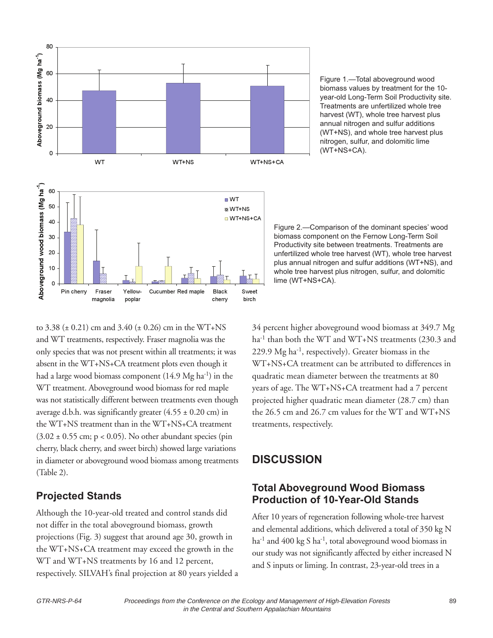

Figure 1.—Total aboveground wood biomass values by treatment for the 10 year-old Long-Term Soil Productivity site. Treatments are unfertilized whole tree harvest (WT), whole tree harvest plus annual nitrogen and sulfur additions (WT+NS), and whole tree harvest plus nitrogen, sulfur, and dolomitic lime (WT+NS+CA).

Figure 2.—Comparison of the dominant species' wood biomass component on the Fernow Long-Term Soil Productivity site between treatments. Treatments are unfertilized whole tree harvest (WT), whole tree harvest plus annual nitrogen and sulfur additions (WT+NS), and whole tree harvest plus nitrogen, sulfur, and dolomitic lime (WT+NS+CA).

to 3.38 ( $\pm$  0.21) cm and 3.40 ( $\pm$  0.26) cm in the WT+NS and WT treatments, respectively. Fraser magnolia was the only species that was not present within all treatments; it was absent in the WT+NS+CA treatment plots even though it had a large wood biomass component  $(14.9 \text{ Mg ha}^{-1})$  in the WT treatment. Aboveground wood biomass for red maple was not statistically different between treatments even though average d.b.h. was significantly greater  $(4.55 \pm 0.20 \text{ cm})$  in the WT+NS treatment than in the WT+NS+CA treatment  $(3.02 \pm 0.55 \text{ cm}; \, \text{p} < 0.05)$ . No other abundant species (pin cherry, black cherry, and sweet birch) showed large variations in diameter or aboveground wood biomass among treatments (Table 2).

#### **Projected Stands**

Although the 10-year-old treated and control stands did not differ in the total aboveground biomass, growth projections (Fig. 3) suggest that around age 30, growth in the WT+NS+CA treatment may exceed the growth in the WT and WT+NS treatments by 16 and 12 percent, respectively. SILVAH's final projection at 80 years yielded a 34 percent higher aboveground wood biomass at 349.7 Mg ha<sup>-1</sup> than both the WT and WT+NS treatments (230.3 and 229.9 Mg ha-1, respectively). Greater biomass in the WT+NS+CA treatment can be attributed to differences in quadratic mean diameter between the treatments at 80 years of age. The WT+NS+CA treatment had a 7 percent projected higher quadratic mean diameter (28.7 cm) than the 26.5 cm and 26.7 cm values for the WT and WT+NS treatments, respectively.

# **DISCUSSION**

#### **Total Aboveground Wood Biomass Production of 10-Year-Old Stands**

After 10 years of regeneration following whole-tree harvest and elemental additions, which delivered a total of 350 kg N  $ha^{-1}$  and 400 kg S  $ha^{-1}$ , total aboveground wood biomass in our study was not significantly affected by either increased N and S inputs or liming. In contrast, 23-year-old trees in a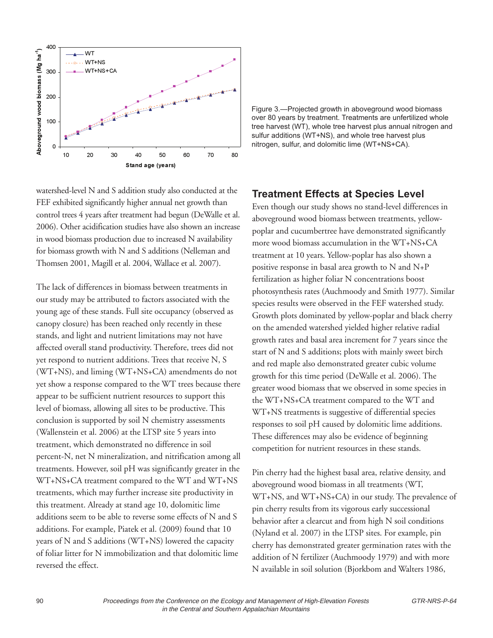

watershed-level N and S addition study also conducted at the FEF exhibited significantly higher annual net growth than control trees 4 years after treatment had begun (DeWalle et al. 2006). Other acidification studies have also shown an increase in wood biomass production due to increased N availability for biomass growth with N and S additions (Nelleman and Thomsen 2001, Magill et al. 2004, Wallace et al. 2007).

The lack of differences in biomass between treatments in our study may be attributed to factors associated with the young age of these stands. Full site occupancy (observed as canopy closure) has been reached only recently in these stands, and light and nutrient limitations may not have affected overall stand productivity. Therefore, trees did not yet respond to nutrient additions. Trees that receive N, S (WT+NS), and liming (WT+NS+CA) amendments do not yet show a response compared to the WT trees because there appear to be sufficient nutrient resources to support this level of biomass, allowing all sites to be productive. This conclusion is supported by soil N chemistry assessments (Wallenstein et al. 2006) at the LTSP site 5 years into treatment, which demonstrated no difference in soil percent-N, net N mineralization, and nitrification among all treatments. However, soil pH was significantly greater in the WT+NS+CA treatment compared to the WT and WT+NS treatments, which may further increase site productivity in this treatment. Already at stand age 10, dolomitic lime additions seem to be able to reverse some effects of N and S additions. For example, Piatek et al. (2009) found that 10 years of N and S additions (WT+NS) lowered the capacity of foliar litter for N immobilization and that dolomitic lime reversed the effect.

Figure 3.—Projected growth in aboveground wood biomass over 80 years by treatment. Treatments are unfertilized whole tree harvest (WT), whole tree harvest plus annual nitrogen and sulfur additions (WT+NS), and whole tree harvest plus nitrogen, sulfur, and dolomitic lime (WT+NS+CA).

#### **Treatment Effects at Species Level**

Even though our study shows no stand-level differences in aboveground wood biomass between treatments, yellowpoplar and cucumbertree have demonstrated significantly more wood biomass accumulation in the WT+NS+CA treatment at 10 years. Yellow-poplar has also shown a positive response in basal area growth to N and N+P fertilization as higher foliar N concentrations boost photosynthesis rates (Auchmoody and Smith 1977). Similar species results were observed in the FEF watershed study. Growth plots dominated by yellow-poplar and black cherry on the amended watershed yielded higher relative radial growth rates and basal area increment for 7 years since the start of N and S additions; plots with mainly sweet birch and red maple also demonstrated greater cubic volume growth for this time period (DeWalle et al. 2006). The greater wood biomass that we observed in some species in the WT+NS+CA treatment compared to the WT and WT+NS treatments is suggestive of differential species responses to soil pH caused by dolomitic lime additions. These differences may also be evidence of beginning competition for nutrient resources in these stands.

Pin cherry had the highest basal area, relative density, and aboveground wood biomass in all treatments (WT, WT+NS, and WT+NS+CA) in our study. The prevalence of pin cherry results from its vigorous early successional behavior after a clearcut and from high N soil conditions (Nyland et al. 2007) in the LTSP sites. For example, pin cherry has demonstrated greater germination rates with the addition of N fertilizer (Auchmoody 1979) and with more N available in soil solution (Bjorkbom and Walters 1986,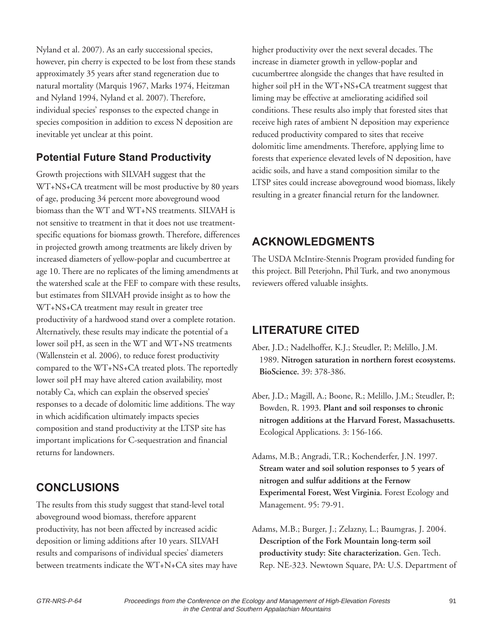Nyland et al. 2007). As an early successional species, however, pin cherry is expected to be lost from these stands approximately 35 years after stand regeneration due to natural mortality (Marquis 1967, Marks 1974, Heitzman and Nyland 1994, Nyland et al. 2007). Therefore, individual species' responses to the expected change in species composition in addition to excess N deposition are inevitable yet unclear at this point.

#### **Potential Future Stand Productivity**

Growth projections with SILVAH suggest that the WT+NS+CA treatment will be most productive by 80 years of age, producing 34 percent more aboveground wood biomass than the WT and WT+NS treatments. SILVAH is not sensitive to treatment in that it does not use treatmentspecific equations for biomass growth. Therefore, differences in projected growth among treatments are likely driven by increased diameters of yellow-poplar and cucumbertree at age 10. There are no replicates of the liming amendments at the watershed scale at the FEF to compare with these results, but estimates from SILVAH provide insight as to how the WT+NS+CA treatment may result in greater tree productivity of a hardwood stand over a complete rotation. Alternatively, these results may indicate the potential of a lower soil pH, as seen in the WT and WT+NS treatments (Wallenstein et al. 2006), to reduce forest productivity compared to the WT+NS+CA treated plots. The reportedly lower soil pH may have altered cation availability, most notably Ca, which can explain the observed species' responses to a decade of dolomitic lime additions. The way in which acidification ultimately impacts species composition and stand productivity at the LTSP site has important implications for C-sequestration and financial returns for landowners.

### **CONCLUSIONS**

The results from this study suggest that stand-level total aboveground wood biomass, therefore apparent productivity, has not been affected by increased acidic deposition or liming additions after 10 years. SILVAH results and comparisons of individual species' diameters between treatments indicate the WT+N+CA sites may have higher productivity over the next several decades. The increase in diameter growth in yellow-poplar and cucumbertree alongside the changes that have resulted in higher soil pH in the WT+NS+CA treatment suggest that liming may be effective at ameliorating acidified soil conditions. These results also imply that forested sites that receive high rates of ambient N deposition may experience reduced productivity compared to sites that receive dolomitic lime amendments. Therefore, applying lime to forests that experience elevated levels of N deposition, have acidic soils, and have a stand composition similar to the LTSP sites could increase aboveground wood biomass, likely resulting in a greater financial return for the landowner.

# **ACKNOWLEDGMENTS**

The USDA McIntire-Stennis Program provided funding for this project. Bill Peterjohn, Phil Turk, and two anonymous reviewers offered valuable insights.

# **LITERATURE CITED**

- Aber, J.D.; Nadelhoffer, K.J.; Steudler, P.; Melillo, J.M. 1989. **Nitrogen saturation in northern forest ecosystems. BioScience.** 39: 378-386.
- Aber, J.D.; Magill, A.; Boone, R.; Melillo, J.M.; Steudler, P.; Bowden, R. 1993. **Plant and soil responses to chronic nitrogen additions at the Harvard Forest, Massachusetts.** Ecological Applications. 3: 156-166.
- Adams, M.B.; Angradi, T.R.; Kochenderfer, J.N. 1997. **Stream water and soil solution responses to 5 years of nitrogen and sulfur additions at the Fernow Experimental Forest, West Virginia.** Forest Ecology and Management. 95: 79-91.
- Adams, M.B.; Burger, J.; Zelazny, L.; Baumgras, J. 2004. **Description of the Fork Mountain long-term soil productivity study: Site characterization.** Gen. Tech. Rep. NE-323. Newtown Square, PA: U.S. Department of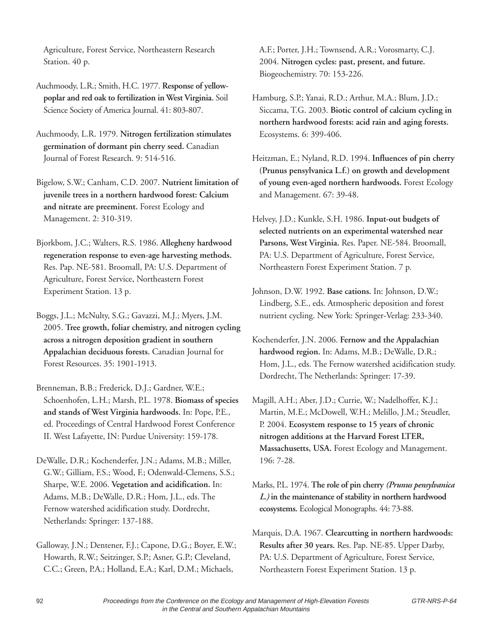Agriculture, Forest Service, Northeastern Research Station. 40 p.

Auchmoody, L.R.; Smith, H.C. 1977. **Response of yellowpoplar and red oak to fertilization in West Virginia.** Soil Science Society of America Journal. 41: 803-807.

Auchmoody, L.R. 1979. **Nitrogen fertilization stimulates germination of dormant pin cherry seed.** Canadian Journal of Forest Research. 9: 514-516.

Bigelow, S.W.; Canham, C.D. 2007. **Nutrient limitation of juvenile trees in a northern hardwood forest: Calcium and nitrate are preeminent.** Forest Ecology and Management. 2: 310-319.

Bjorkbom, J.C.; Walters, R.S. 1986. **Allegheny hardwood regeneration response to even-age harvesting methods.** Res. Pap. NE-581. Broomall, PA: U.S. Department of Agriculture, Forest Service, Northeastern Forest Experiment Station. 13 p.

Boggs, J.L.; McNulty, S.G.; Gavazzi, M.J.; Myers, J.M. 2005. **Tree growth, foliar chemistry, and nitrogen cycling across a nitrogen deposition gradient in southern Appalachian deciduous forests.** Canadian Journal for Forest Resources. 35: 1901-1913.

Brenneman, B.B.; Frederick, D.J.; Gardner, W.E.; Schoenhofen, L.H.; Marsh, P.L. 1978. **Biomass of species and stands of West Virginia hardwoods.** In: Pope, P.E., ed. Proceedings of Central Hardwood Forest Conference II. West Lafayette, IN: Purdue University: 159-178.

DeWalle, D.R.; Kochenderfer, J.N.; Adams, M.B.; Miller, G.W.; Gilliam, F.S.; Wood, F.; Odenwald-Clemens, S.S.; Sharpe, W.E. 2006. **Vegetation and acidification.** In: Adams, M.B.; DeWalle, D.R.; Hom, J.L., eds. The Fernow watershed acidification study. Dordrecht, Netherlands: Springer: 137-188.

Galloway, J.N.; Dentener, F.J.; Capone, D.G.; Boyer, E.W.; Howarth, R.W.; Seitzinger, S.P.; Asner, G.P.; Cleveland, C.C.; Green, P.A.; Holland, E.A.; Karl, D.M.; Michaels,

A.F.; Porter, J.H.; Townsend, A.R.; Vorosmarty, C.J. 2004. **Nitrogen cycles: past, present, and future.** Biogeochemistry. 70: 153-226.

- Hamburg, S.P.; Yanai, R.D.; Arthur, M.A.; Blum, J.D.; Siccama, T.G. 2003. **Biotic control of calcium cycling in northern hardwood forests: acid rain and aging forests.** Ecosystems. 6: 399-406.
- Heitzman, E.; Nyland, R.D. 1994. **Influences of pin cherry (Prunus pensylvanica L.f.) on growth and development of young even-aged northern hardwoods.** Forest Ecology and Management. 67: 39-48.

Helvey, J.D.; Kunkle, S.H. 1986. **Input-out budgets of selected nutrients on an experimental watershed near Parsons, West Virginia.** Res. Paper. NE-584. Broomall, PA: U.S. Department of Agriculture, Forest Service, Northeastern Forest Experiment Station. 7 p.

Johnson, D.W. 1992. **Base cations.** In: Johnson, D.W.; Lindberg, S.E., eds. Atmospheric deposition and forest nutrient cycling. New York: Springer-Verlag: 233-340.

- Kochenderfer, J.N. 2006. **Fernow and the Appalachian hardwood region.** In: Adams, M.B.; DeWalle, D.R.; Hom, J.L., eds. The Fernow watershed acidification study. Dordrecht, The Netherlands: Springer: 17-39.
- Magill, A.H.; Aber, J.D.; Currie, W.; Nadelhoffer, K.J.; Martin, M.E.; McDowell, W.H.; Melillo, J.M.; Steudler, P. 2004. **Ecosystem response to 15 years of chronic nitrogen additions at the Harvard Forest LTER, Massachusetts, USA.** Forest Ecology and Management. 196: 7-28.
- Marks, P.L. 1974. **The role of pin cherry** *(Prunus pensylvanica L.)* **in the maintenance of stability in northern hardwood ecosystems.** Ecological Monographs. 44: 73-88.

Marquis, D.A. 1967. **Clearcutting in northern hardwoods: Results after 30 years.** Res. Pap. NE-85. Upper Darby, PA: U.S. Department of Agriculture, Forest Service, Northeastern Forest Experiment Station. 13 p.